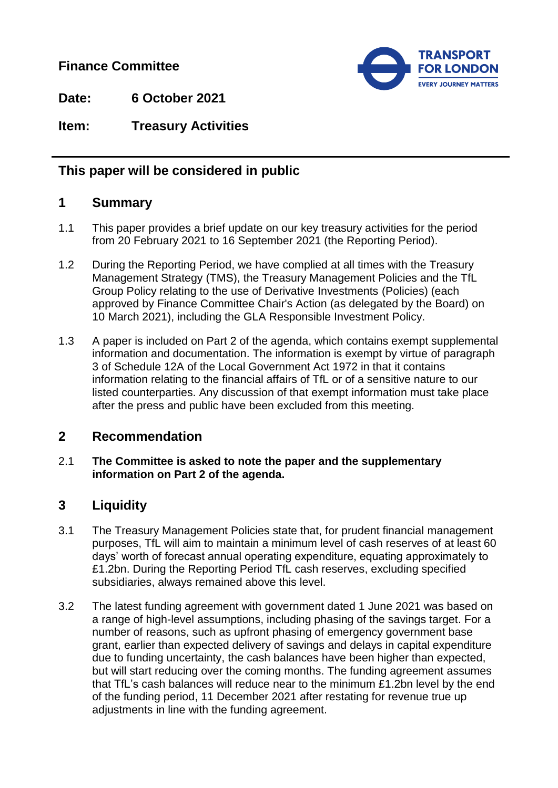## **Finance Committee**



**Date: 6 October 2021**

**Item: Treasury Activities**

## **This paper will be considered in public**

## **1 Summary**

- 1.1 This paper provides a brief update on our key treasury activities for the period from 20 February 2021 to 16 September 2021 (the Reporting Period).
- 1.2 During the Reporting Period, we have complied at all times with the Treasury Management Strategy (TMS), the Treasury Management Policies and the TfL Group Policy relating to the use of Derivative Investments (Policies) (each approved by Finance Committee Chair's Action (as delegated by the Board) on 10 March 2021), including the GLA Responsible Investment Policy.
- 1.3 A paper is included on Part 2 of the agenda, which contains exempt supplemental information and documentation. The information is exempt by virtue of paragraph 3 of Schedule 12A of the Local Government Act 1972 in that it contains information relating to the financial affairs of TfL or of a sensitive nature to our listed counterparties. Any discussion of that exempt information must take place after the press and public have been excluded from this meeting.

## **2 Recommendation**

2.1 **The Committee is asked to note the paper and the supplementary information on Part 2 of the agenda.**

# **3 Liquidity**

- 3.1 The Treasury Management Policies state that, for prudent financial management purposes, TfL will aim to maintain a minimum level of cash reserves of at least 60 days' worth of forecast annual operating expenditure, equating approximately to £1.2bn. During the Reporting Period TfL cash reserves, excluding specified subsidiaries, always remained above this level.
- 3.2 The latest funding agreement with government dated 1 June 2021 was based on a range of high-level assumptions, including phasing of the savings target. For a number of reasons, such as upfront phasing of emergency government base grant, earlier than expected delivery of savings and delays in capital expenditure due to funding uncertainty, the cash balances have been higher than expected, but will start reducing over the coming months. The funding agreement assumes that TfL's cash balances will reduce near to the minimum £1.2bn level by the end of the funding period, 11 December 2021 after restating for revenue true up adjustments in line with the funding agreement.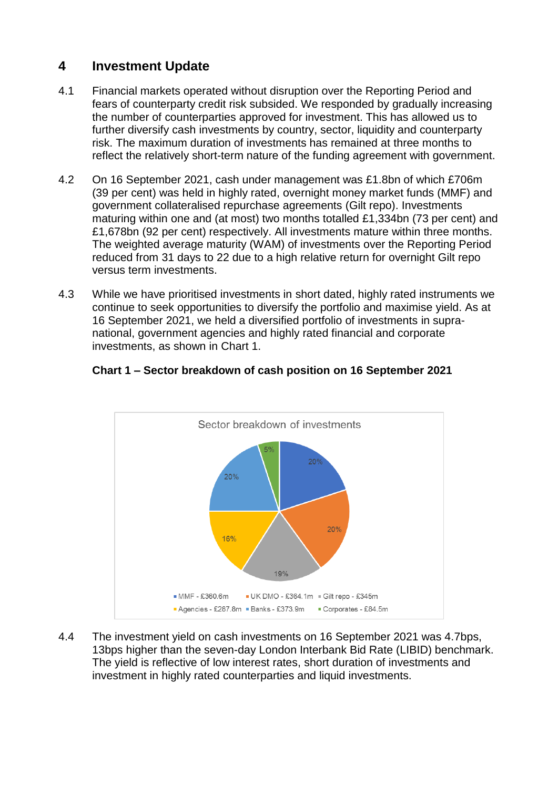# **4 Investment Update**

- 4.1 Financial markets operated without disruption over the Reporting Period and fears of counterparty credit risk subsided. We responded by gradually increasing the number of counterparties approved for investment. This has allowed us to further diversify cash investments by country, sector, liquidity and counterparty risk. The maximum duration of investments has remained at three months to reflect the relatively short-term nature of the funding agreement with government.
- 4.2 On 16 September 2021, cash under management was £1.8bn of which £706m (39 per cent) was held in highly rated, overnight money market funds (MMF) and government collateralised repurchase agreements (Gilt repo). Investments maturing within one and (at most) two months totalled £1,334bn (73 per cent) and £1,678bn (92 per cent) respectively. All investments mature within three months. The weighted average maturity (WAM) of investments over the Reporting Period reduced from 31 days to 22 due to a high relative return for overnight Gilt repo versus term investments.
- 4.3 While we have prioritised investments in short dated, highly rated instruments we continue to seek opportunities to diversify the portfolio and maximise yield. As at 16 September 2021, we held a diversified portfolio of investments in supranational, government agencies and highly rated financial and corporate investments, as shown in Chart 1.



### **Chart 1 – Sector breakdown of cash position on 16 September 2021**

4.4 The investment yield on cash investments on 16 September 2021 was 4.7bps, 13bps higher than the seven-day London Interbank Bid Rate (LIBID) benchmark. The yield is reflective of low interest rates, short duration of investments and investment in highly rated counterparties and liquid investments.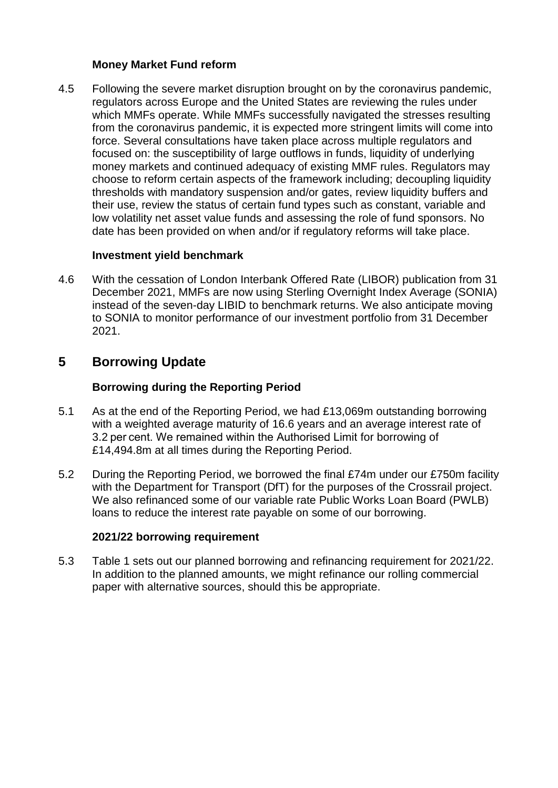#### **Money Market Fund reform**

4.5 Following the severe market disruption brought on by the coronavirus pandemic, regulators across Europe and the United States are reviewing the rules under which MMFs operate. While MMFs successfully navigated the stresses resulting from the coronavirus pandemic, it is expected more stringent limits will come into force. Several consultations have taken place across multiple regulators and focused on: the susceptibility of large outflows in funds, liquidity of underlying money markets and continued adequacy of existing MMF rules. Regulators may choose to reform certain aspects of the framework including; decoupling liquidity thresholds with mandatory suspension and/or gates, review liquidity buffers and their use, review the status of certain fund types such as constant, variable and low volatility net asset value funds and assessing the role of fund sponsors. No date has been provided on when and/or if regulatory reforms will take place.

#### **Investment yield benchmark**

4.6 With the cessation of London Interbank Offered Rate (LIBOR) publication from 31 December 2021, MMFs are now using Sterling Overnight Index Average (SONIA) instead of the seven-day LIBID to benchmark returns. We also anticipate moving to SONIA to monitor performance of our investment portfolio from 31 December 2021.

## **5 Borrowing Update**

#### **Borrowing during the Reporting Period**

- 5.1 As at the end of the Reporting Period, we had £13,069m outstanding borrowing with a weighted average maturity of 16.6 years and an average interest rate of 3.2 per cent. We remained within the Authorised Limit for borrowing of £14,494.8m at all times during the Reporting Period.
- 5.2 During the Reporting Period, we borrowed the final £74m under our £750m facility with the Department for Transport (DfT) for the purposes of the Crossrail project. We also refinanced some of our variable rate Public Works Loan Board (PWLB) loans to reduce the interest rate payable on some of our borrowing.

#### **2021/22 borrowing requirement**

5.3 Table 1 sets out our planned borrowing and refinancing requirement for 2021/22. In addition to the planned amounts, we might refinance our rolling commercial paper with alternative sources, should this be appropriate.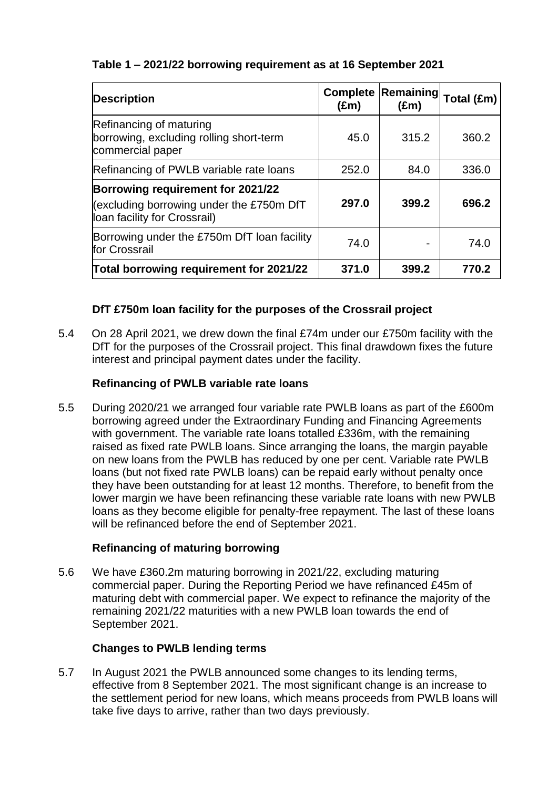## **Table 1 – 2021/22 borrowing requirement as at 16 September 2021**

| <b>Description</b>                                                                                            | <b>Complete</b><br>$(\text{Em})$ | <b>Remaining</b><br>$(\text{Em})$ | Total (£m) |
|---------------------------------------------------------------------------------------------------------------|----------------------------------|-----------------------------------|------------|
| Refinancing of maturing<br>borrowing, excluding rolling short-term<br>commercial paper                        | 45.0                             | 315.2                             | 360.2      |
| Refinancing of PWLB variable rate loans                                                                       | 252.0                            | 84.0                              | 336.0      |
| Borrowing requirement for 2021/22<br>(excluding borrowing under the £750m DfT<br>loan facility for Crossrail) | 297.0                            | 399.2                             | 696.2      |
| Borrowing under the £750m DfT loan facility<br>for Crossrail                                                  | 74.0                             |                                   | 74.0       |
| Total borrowing requirement for 2021/22                                                                       | 371.0                            | 399.2                             | 770.2      |

### **DfT £750m loan facility for the purposes of the Crossrail project**

5.4 On 28 April 2021, we drew down the final £74m under our £750m facility with the DfT for the purposes of the Crossrail project. This final drawdown fixes the future interest and principal payment dates under the facility.

### **Refinancing of PWLB variable rate loans**

5.5 During 2020/21 we arranged four variable rate PWLB loans as part of the £600m borrowing agreed under the Extraordinary Funding and Financing Agreements with government. The variable rate loans totalled £336m, with the remaining raised as fixed rate PWLB loans. Since arranging the loans, the margin payable on new loans from the PWLB has reduced by one per cent. Variable rate PWLB loans (but not fixed rate PWLB loans) can be repaid early without penalty once they have been outstanding for at least 12 months. Therefore, to benefit from the lower margin we have been refinancing these variable rate loans with new PWLB loans as they become eligible for penalty-free repayment. The last of these loans will be refinanced before the end of September 2021.

### **Refinancing of maturing borrowing**

5.6 We have £360.2m maturing borrowing in 2021/22, excluding maturing commercial paper. During the Reporting Period we have refinanced £45m of maturing debt with commercial paper. We expect to refinance the majority of the remaining 2021/22 maturities with a new PWLB loan towards the end of September 2021.

### **Changes to PWLB lending terms**

5.7 In August 2021 the PWLB announced some changes to its lending terms, effective from 8 September 2021. The most significant change is an increase to the settlement period for new loans, which means proceeds from PWLB loans will take five days to arrive, rather than two days previously.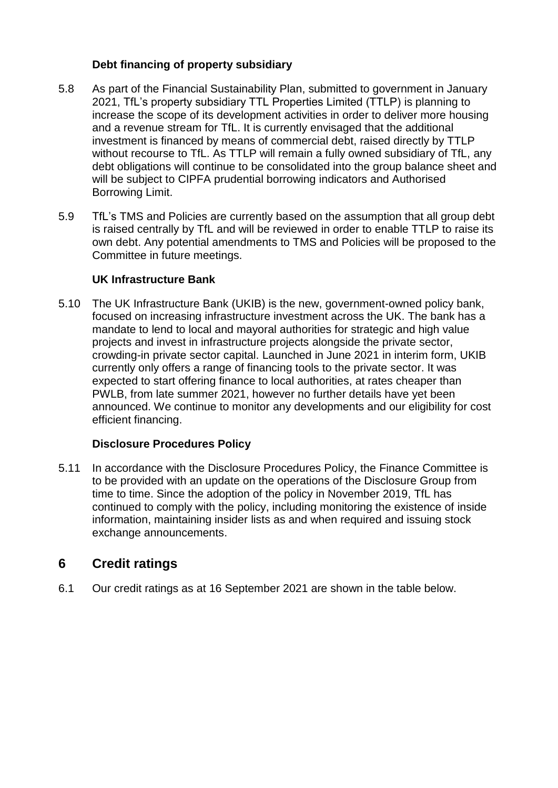### **Debt financing of property subsidiary**

- 5.8 As part of the Financial Sustainability Plan, submitted to government in January 2021, TfL's property subsidiary TTL Properties Limited (TTLP) is planning to increase the scope of its development activities in order to deliver more housing and a revenue stream for TfL. It is currently envisaged that the additional investment is financed by means of commercial debt, raised directly by TTLP without recourse to TfL. As TTLP will remain a fully owned subsidiary of TfL, any debt obligations will continue to be consolidated into the group balance sheet and will be subject to CIPFA prudential borrowing indicators and Authorised Borrowing Limit.
- 5.9 TfL's TMS and Policies are currently based on the assumption that all group debt is raised centrally by TfL and will be reviewed in order to enable TTLP to raise its own debt. Any potential amendments to TMS and Policies will be proposed to the Committee in future meetings.

### **UK Infrastructure Bank**

5.10 The UK Infrastructure Bank (UKIB) is the new, government-owned policy bank, focused on increasing infrastructure investment across the UK. The bank has a mandate to lend to local and mayoral authorities for strategic and high value projects and invest in infrastructure projects alongside the private sector, crowding-in private sector capital. Launched in June 2021 in interim form, UKIB currently only offers a range of financing tools to the private sector. It was expected to start offering finance to local authorities, at rates cheaper than PWLB, from late summer 2021, however no further details have yet been announced. We continue to monitor any developments and our eligibility for cost efficient financing.

### **Disclosure Procedures Policy**

5.11 In accordance with the Disclosure Procedures Policy, the Finance Committee is to be provided with an update on the operations of the Disclosure Group from time to time. Since the adoption of the policy in November 2019, TfL has continued to comply with the policy, including monitoring the existence of inside information, maintaining insider lists as and when required and issuing stock exchange announcements.

## **6 Credit ratings**

6.1 Our credit ratings as at 16 September 2021 are shown in the table below.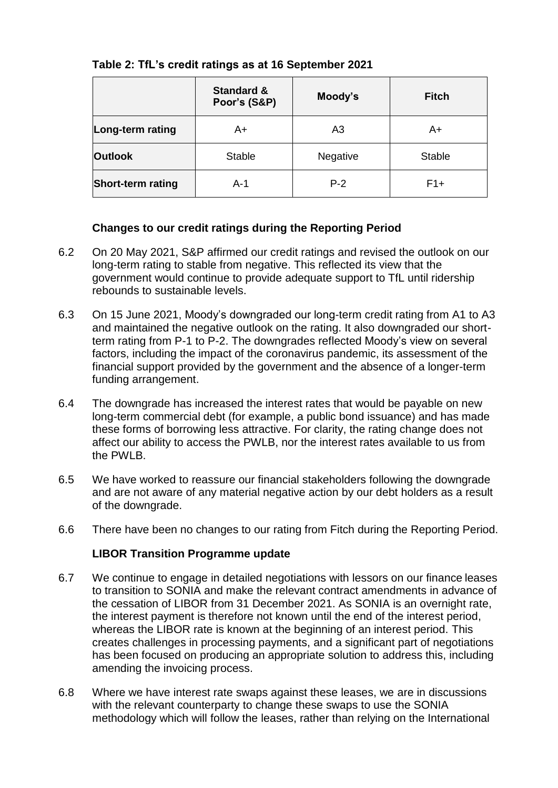|                          | <b>Standard &amp;</b><br>Poor's (S&P) | Moody's        | <b>Fitch</b>  |
|--------------------------|---------------------------------------|----------------|---------------|
| Long-term rating         | A+                                    | A <sub>3</sub> | A+            |
| <b>Outlook</b>           | <b>Stable</b>                         | Negative       | <b>Stable</b> |
| <b>Short-term rating</b> | A-1                                   | $P-2$          | $F1+$         |

### **Table 2: TfL's credit ratings as at 16 September 2021**

#### **Changes to our credit ratings during the Reporting Period**

- 6.2 On 20 May 2021, S&P affirmed our credit ratings and revised the outlook on our long-term rating to stable from negative. This reflected its view that the government would continue to provide adequate support to TfL until ridership rebounds to sustainable levels.
- 6.3 On 15 June 2021, Moody's downgraded our long-term credit rating from A1 to A3 and maintained the negative outlook on the rating. It also downgraded our shortterm rating from P-1 to P-2. The downgrades reflected Moody's view on several factors, including the impact of the coronavirus pandemic, its assessment of the financial support provided by the government and the absence of a longer-term funding arrangement.
- 6.4 The downgrade has increased the interest rates that would be payable on new long-term commercial debt (for example, a public bond issuance) and has made these forms of borrowing less attractive. For clarity, the rating change does not affect our ability to access the PWLB, nor the interest rates available to us from the PWLB.
- 6.5 We have worked to reassure our financial stakeholders following the downgrade and are not aware of any material negative action by our debt holders as a result of the downgrade.
- 6.6 There have been no changes to our rating from Fitch during the Reporting Period.

#### **LIBOR Transition Programme update**

- 6.7 We continue to engage in detailed negotiations with lessors on our finance leases to transition to SONIA and make the relevant contract amendments in advance of the cessation of LIBOR from 31 December 2021. As SONIA is an overnight rate, the interest payment is therefore not known until the end of the interest period, whereas the LIBOR rate is known at the beginning of an interest period. This creates challenges in processing payments, and a significant part of negotiations has been focused on producing an appropriate solution to address this, including amending the invoicing process.
- 6.8 Where we have interest rate swaps against these leases, we are in discussions with the relevant counterparty to change these swaps to use the SONIA methodology which will follow the leases, rather than relying on the International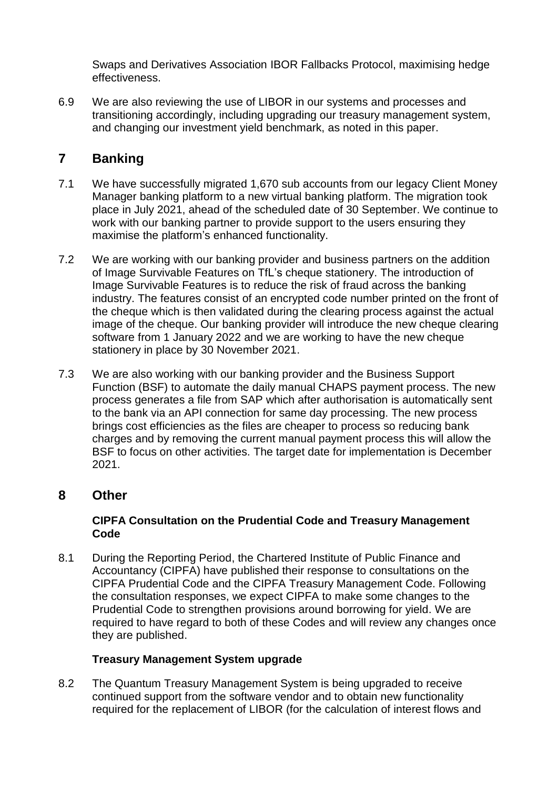Swaps and Derivatives Association IBOR Fallbacks Protocol, maximising hedge effectiveness.

6.9 We are also reviewing the use of LIBOR in our systems and processes and transitioning accordingly, including upgrading our treasury management system, and changing our investment yield benchmark, as noted in this paper.

## **7 Banking**

- 7.1 We have successfully migrated 1,670 sub accounts from our legacy Client Money Manager banking platform to a new virtual banking platform. The migration took place in July 2021, ahead of the scheduled date of 30 September. We continue to work with our banking partner to provide support to the users ensuring they maximise the platform's enhanced functionality.
- 7.2 We are working with our banking provider and business partners on the addition of Image Survivable Features on TfL's cheque stationery. The introduction of Image Survivable Features is to reduce the risk of fraud across the banking industry. The features consist of an encrypted code number printed on the front of the cheque which is then validated during the clearing process against the actual image of the cheque. Our banking provider will introduce the new cheque clearing software from 1 January 2022 and we are working to have the new cheque stationery in place by 30 November 2021.
- 7.3 We are also working with our banking provider and the Business Support Function (BSF) to automate the daily manual CHAPS payment process. The new process generates a file from SAP which after authorisation is automatically sent to the bank via an API connection for same day processing. The new process brings cost efficiencies as the files are cheaper to process so reducing bank charges and by removing the current manual payment process this will allow the BSF to focus on other activities. The target date for implementation is December 2021.

## **8 Other**

#### **CIPFA Consultation on the Prudential Code and Treasury Management Code**

8.1 During the Reporting Period, the Chartered Institute of Public Finance and Accountancy (CIPFA) have published their response to consultations on the CIPFA Prudential Code and the CIPFA Treasury Management Code. Following the consultation responses, we expect CIPFA to make some changes to the Prudential Code to strengthen provisions around borrowing for yield. We are required to have regard to both of these Codes and will review any changes once they are published.

### **Treasury Management System upgrade**

8.2 The Quantum Treasury Management System is being upgraded to receive continued support from the software vendor and to obtain new functionality required for the replacement of LIBOR (for the calculation of interest flows and